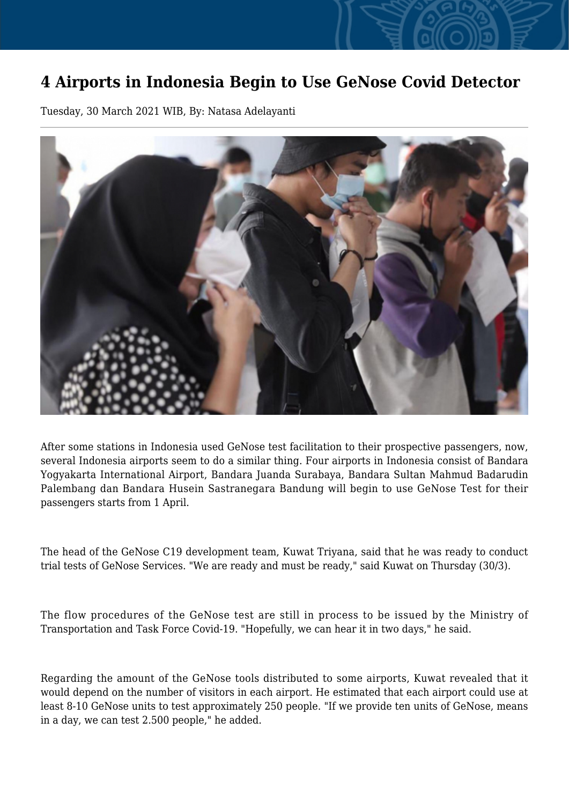## **4 Airports in Indonesia Begin to Use GeNose Covid Detector**

Tuesday, 30 March 2021 WIB, By: Natasa Adelayanti



After some stations in Indonesia used GeNose test facilitation to their prospective passengers, now, several Indonesia airports seem to do a similar thing. Four airports in Indonesia consist of Bandara Yogyakarta International Airport, Bandara Juanda Surabaya, Bandara Sultan Mahmud Badarudin Palembang dan Bandara Husein Sastranegara Bandung will begin to use GeNose Test for their passengers starts from 1 April.

The head of the GeNose C19 development team, Kuwat Triyana, said that he was ready to conduct trial tests of GeNose Services. "We are ready and must be ready," said Kuwat on Thursday (30/3).

The flow procedures of the GeNose test are still in process to be issued by the Ministry of Transportation and Task Force Covid-19. "Hopefully, we can hear it in two days," he said.

Regarding the amount of the GeNose tools distributed to some airports, Kuwat revealed that it would depend on the number of visitors in each airport. He estimated that each airport could use at least 8-10 GeNose units to test approximately 250 people. "If we provide ten units of GeNose, means in a day, we can test 2.500 people," he added.